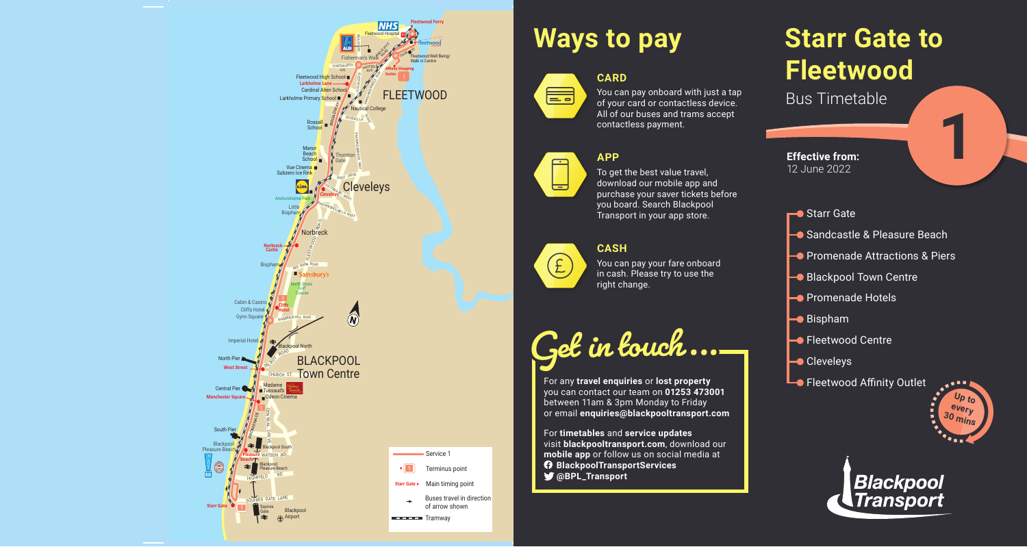# **Starr Gate to Fleetwood**

Bus Timetable



### **CARD** ▆



**1**



# **Ways to pay**



#### **APP**



To get the best value travel, download our mobile app and purchase your saver tickets before you board. Search Blackpool Transport in your app store.

#### **CASH**



You can pay your fare onboard in cash. Please try to use the right change.

**Get in touch...**

For any **travel enquiries** or **lost property** you can contact our team on **01253 473001** between 11am & 3pm Monday to Friday or email **enquiries@blackpooltransport.com**

For **timetables** and **service updates** visit **blackpooltransport.com**, download our **mobile app** or follow us on social media at **BlackpoolTransportServices @BPL\_Transport**



**Effective from:** 12 June 2022

- **←●** Starr Gate
- Sandcastle & Pleasure Beach
- **Promenade Attractions & Piers**
- Blackpool Town Centre
- **Promenade Hotels**
- **Bispham**
- **-** Fleetwood Centre
- **Cleveleys**
- **Lo** Fleetwood Affinity Outlet